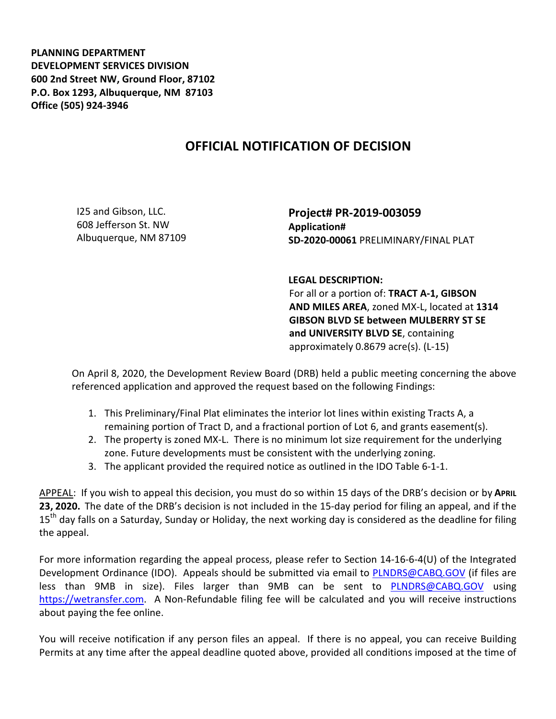**PLANNING DEPARTMENT DEVELOPMENT SERVICES DIVISION 600 2nd Street NW, Ground Floor, 87102 P.O. Box 1293, Albuquerque, NM 87103 Office (505) 924-3946** 

## **OFFICIAL NOTIFICATION OF DECISION**

I25 and Gibson, LLC. 608 Jefferson St. NW Albuquerque, NM 87109

**Project# PR-2019-003059 Application# SD-2020-00061** PRELIMINARY/FINAL PLAT

**LEGAL DESCRIPTION:** 

For all or a portion of: **TRACT A-1, GIBSON AND MILES AREA**, zoned MX-L, located at **1314 GIBSON BLVD SE between MULBERRY ST SE and UNIVERSITY BLVD SE**, containing approximately 0.8679 acre(s). (L-15)

On April 8, 2020, the Development Review Board (DRB) held a public meeting concerning the above referenced application and approved the request based on the following Findings:

- 1. This Preliminary/Final Plat eliminates the interior lot lines within existing Tracts A, a remaining portion of Tract D, and a fractional portion of Lot 6, and grants easement(s).
- 2. The property is zoned MX-L. There is no minimum lot size requirement for the underlying zone. Future developments must be consistent with the underlying zoning.
- 3. The applicant provided the required notice as outlined in the IDO Table 6-1-1.

APPEAL: If you wish to appeal this decision, you must do so within 15 days of the DRB's decision or by **APRIL 23, 2020.** The date of the DRB's decision is not included in the 15-day period for filing an appeal, and if the 15<sup>th</sup> day falls on a Saturday, Sunday or Holiday, the next working day is considered as the deadline for filing the appeal.

For more information regarding the appeal process, please refer to Section 14-16-6-4(U) of the Integrated Development Ordinance (IDO). Appeals should be submitted via email to PLNDRS@CABQ.GOV (if files are less than 9MB in size). Files larger than 9MB can be sent to PLNDRS@CABQ.GOV using https://wetransfer.com. A Non-Refundable filing fee will be calculated and you will receive instructions about paying the fee online.

You will receive notification if any person files an appeal. If there is no appeal, you can receive Building Permits at any time after the appeal deadline quoted above, provided all conditions imposed at the time of